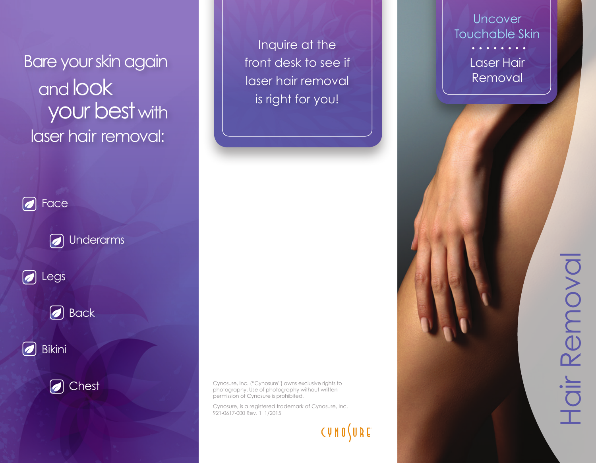Bare your skin again and look your best with laser hair removal:



O Chest

Inquire at the front desk to see if laser hair removal is right for you!

Cynosure, Inc. ("Cynosure") owns exclusive rights to photography. Use of photography without written permission of Cynosure is prohibited.

Cynosure, is a registered trademark of Cynosure, Inc. 921-0617-000 Rev. 1 1/2015

**CUNO JURE** 

**Uncover** Touchable Skin Laser Hair Removal